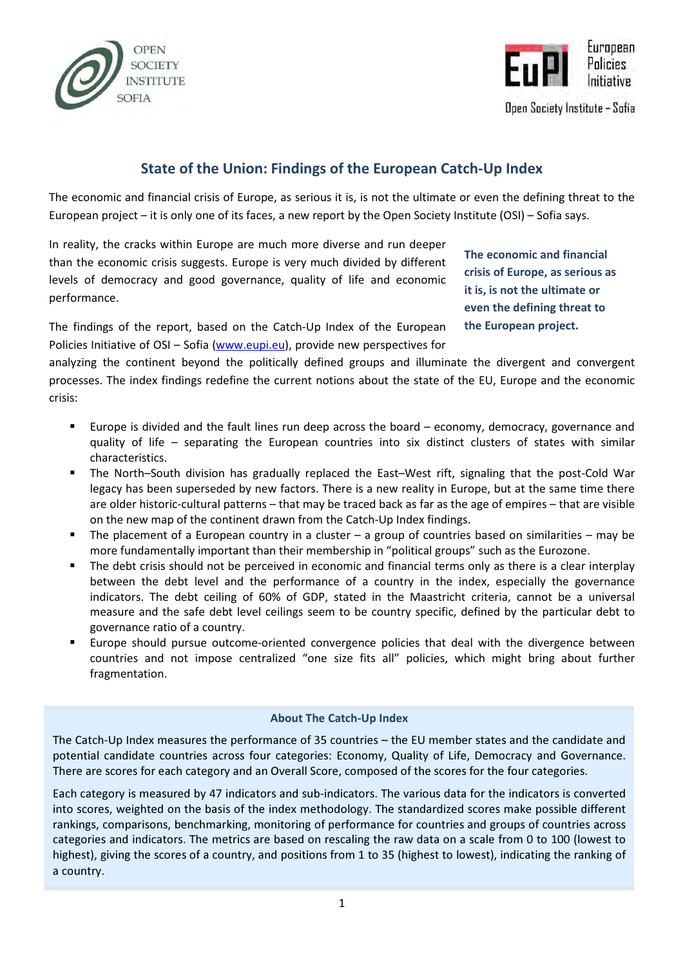



Open Society Institute - Sofia

# State of the Union: Findings of the European Catch-Up Index

The economic and financial crisis of Europe, as serious it is, is not the ultimate or even the defining threat to the European project – it is only one of its faces, a new report by the Open Society Institute (OSI) – Sofia says.

In reality, the cracks within Europe are much more diverse and run deeper than the economic crisis suggests. Europe is very much divided by different levels of democracy and good governance, quality of life and economic performance.

The economic and financial crisis of Europe, as serious as it is, is not the ultimate or even the defining threat to the European project.

The findings of the report, based on the Catch-Up Index of the European Policies Initiative of OSI – Sofia (www.eupi.eu), provide new perspectives for

analyzing the continent beyond the politically defined groups and illuminate the divergent and convergent processes. The index findings redefine the current notions about the state of the EU, Europe and the economic crisis:

- Europe is divided and the fault lines run deep across the board economy, democracy, governance and quality of life – separating the European countries into six distinct clusters of states with similar characteristics.
- The North–South division has gradually replaced the East–West rift, signaling that the post-Cold War legacy has been superseded by new factors. There is a new reality in Europe, but at the same time there are older historic-cultural patterns – that may be traced back as far as the age of empires – that are visible on the new map of the continent drawn from the Catch-Up Index findings.
- The placement of a European country in a cluster a group of countries based on similarities may be more fundamentally important than their membership in "political groups" such as the Eurozone.
- The debt crisis should not be perceived in economic and financial terms only as there is a clear interplay between the debt level and the performance of a country in the index, especially the governance indicators. The debt ceiling of 60% of GDP, stated in the Maastricht criteria, cannot be a universal measure and the safe debt level ceilings seem to be country specific, defined by the particular debt to governance ratio of a country.
- Europe should pursue outcome-oriented convergence policies that deal with the divergence between countries and not impose centralized "one size fits all" policies, which might bring about further fragmentation.

# About The Catch-Up Index

The Catch-Up Index measures the performance of 35 countries – the EU member states and the candidate and potential candidate countries across four categories: Economy, Quality of Life, Democracy and Governance. There are scores for each category and an Overall Score, composed of the scores for the four categories.

Each category is measured by 47 indicators and sub-indicators. The various data for the indicators is converted into scores, weighted on the basis of the index methodology. The standardized scores make possible different rankings, comparisons, benchmarking, monitoring of performance for countries and groups of countries across categories and indicators. The metrics are based on rescaling the raw data on a scale from 0 to 100 (lowest to highest), giving the scores of a country, and positions from 1 to 35 (highest to lowest), indicating the ranking of a country.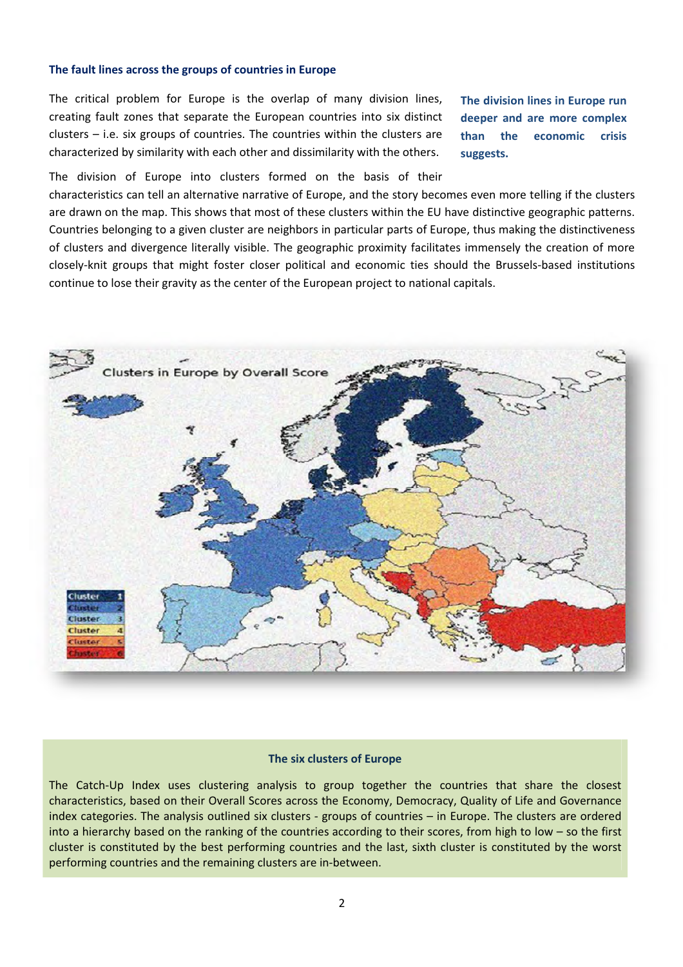#### The fault lines across the groups of countries in Europe

The critical problem for Europe is the overlap of many division lines, creating fault zones that separate the European countries into six distinct clusters – i.e. six groups of countries. The countries within the clusters are characterized by similarity with each other and dissimilarity with the others.

The division lines in Europe run deeper and are more complex than the economic crisis suggests.

The division of Europe into clusters formed on the basis of their

characteristics can tell an alternative narrative of Europe, and the story becomes even more telling if the clusters are drawn on the map. This shows that most of these clusters within the EU have distinctive geographic patterns. Countries belonging to a given cluster are neighbors in particular parts of Europe, thus making the distinctiveness of clusters and divergence literally visible. The geographic proximity facilitates immensely the creation of more closely-knit groups that might foster closer political and economic ties should the Brussels-based institutions continue to lose their gravity as the center of the European project to national capitals.



#### The six clusters of Europe

The Catch-Up Index uses clustering analysis to group together the countries that share the closest characteristics, based on their Overall Scores across the Economy, Democracy, Quality of Life and Governance index categories. The analysis outlined six clusters - groups of countries – in Europe. The clusters are ordered into a hierarchy based on the ranking of the countries according to their scores, from high to low – so the first cluster is constituted by the best performing countries and the last, sixth cluster is constituted by the worst performing countries and the remaining clusters are in-between.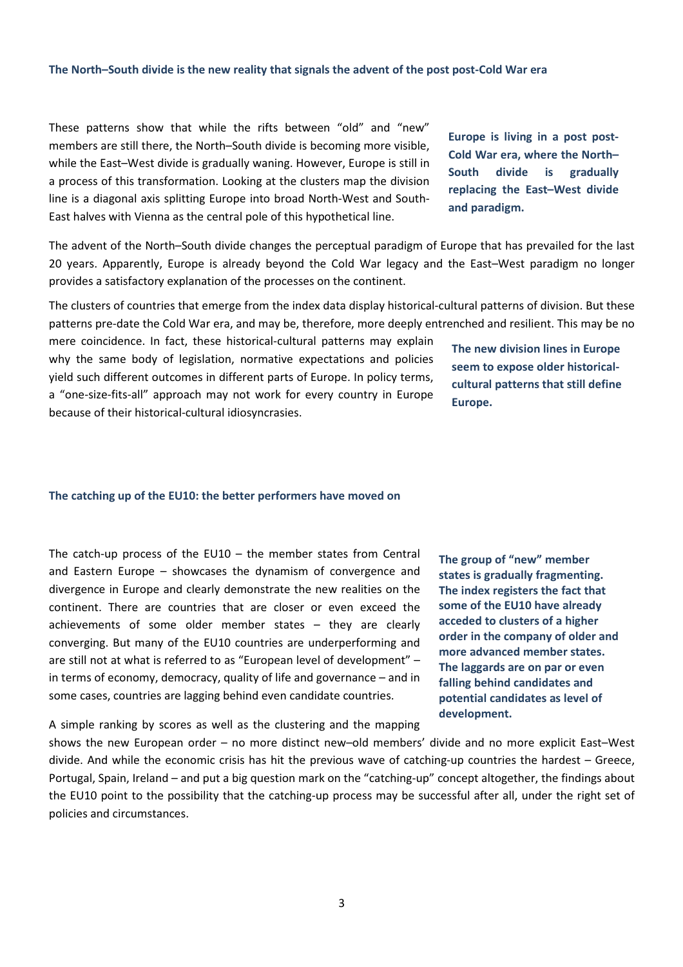## The North–South divide is the new reality that signals the advent of the post post-Cold War era

These patterns show that while the rifts between "old" and "new" members are still there, the North–South divide is becoming more visible, while the East–West divide is gradually waning. However, Europe is still in a process of this transformation. Looking at the clusters map the division line is a diagonal axis splitting Europe into broad North-West and South-East halves with Vienna as the central pole of this hypothetical line.

The advent of the North–South divide changes the perceptual paradigm of Europe that has prevailed for the last 20 years. Apparently, Europe is already beyond the Cold War legacy and the East–West paradigm no longer provides a satisfactory explanation of the processes on the continent.

The clusters of countries that emerge from the index data display historical-cultural patterns of division. But these patterns pre-date the Cold War era, and may be, therefore, more deeply entrenched and resilient. This may be no

mere coincidence. In fact, these historical-cultural patterns may explain why the same body of legislation, normative expectations and policies yield such different outcomes in different parts of Europe. In policy terms, a "one-size-fits-all" approach may not work for every country in Europe because of their historical-cultural idiosyncrasies.

#### The catching up of the EU10: the better performers have moved on

The catch-up process of the  $E$ U10 – the member states from Central and Eastern Europe – showcases the dynamism of convergence and divergence in Europe and clearly demonstrate the new realities on the continent. There are countries that are closer or even exceed the achievements of some older member states – they are clearly converging. But many of the EU10 countries are underperforming and are still not at what is referred to as "European level of development" – in terms of economy, democracy, quality of life and governance – and in some cases, countries are lagging behind even candidate countries.

A simple ranking by scores as well as the clustering and the mapping shows the new European order – no more distinct new–old members' divide and no more explicit East–West divide. And while the economic crisis has hit the previous wave of catching-up countries the hardest – Greece, Portugal, Spain, Ireland – and put a big question mark on the "catching-up" concept altogether, the findings about the EU10 point to the possibility that the catching-up process may be successful after all, under the right set of policies and circumstances.

The group of "new" member states is gradually fragmenting. The index registers the fact that some of the EU10 have already acceded to clusters of a higher order in the company of older and more advanced member states. The laggards are on par or even falling behind candidates and potential candidates as level of development.

Europe is living in a post post-Cold War era, where the North– South divide is gradually replacing the East–West divide and paradigm.

The new division lines in Europe seem to expose older historicalcultural patterns that still define

Europe.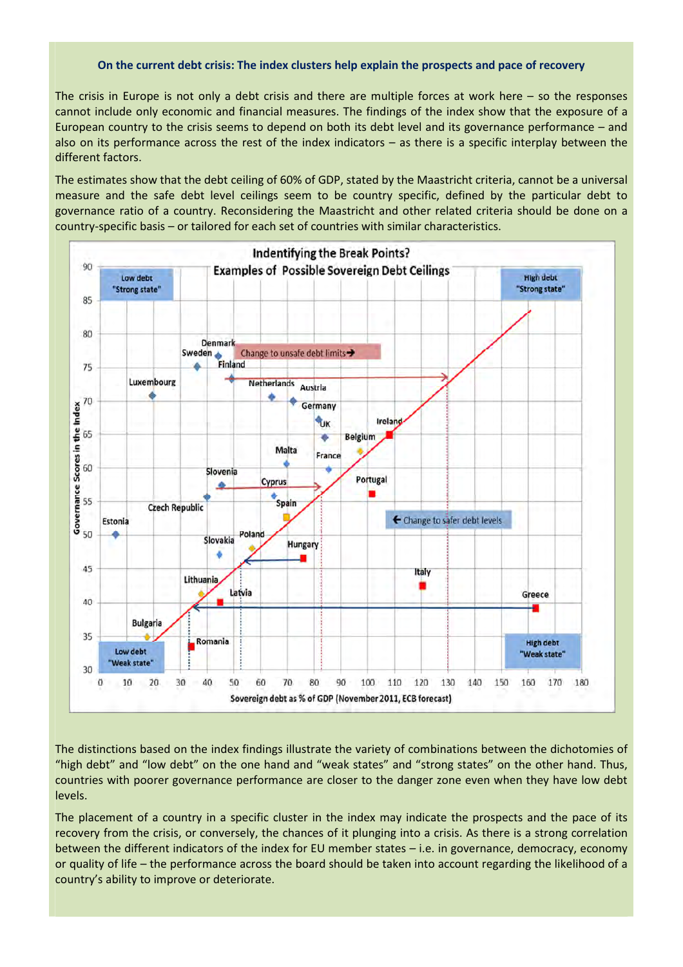#### On the current debt crisis: The index clusters help explain the prospects and pace of recovery

The crisis in Europe is not only a debt crisis and there are multiple forces at work here – so the responses cannot include only economic and financial measures. The findings of the index show that the exposure of a European country to the crisis seems to depend on both its debt level and its governance performance – and also on its performance across the rest of the index indicators – as there is a specific interplay between the different factors.

The estimates show that the debt ceiling of 60% of GDP, stated by the Maastricht criteria, cannot be a universal measure and the safe debt level ceilings seem to be country specific, defined by the particular debt to governance ratio of a country. Reconsidering the Maastricht and other related criteria should be done on a country-specific basis – or tailored for each set of countries with similar characteristics.



The distinctions based on the index findings illustrate the variety of combinations between the dichotomies of "high debt" and "low debt" on the one hand and "weak states" and "strong states" on the other hand. Thus, countries with poorer governance performance are closer to the danger zone even when they have low debt levels.

The placement of a country in a specific cluster in the index may indicate the prospects and the pace of its recovery from the crisis, or conversely, the chances of it plunging into a crisis. As there is a strong correlation between the different indicators of the index for EU member states – i.e. in governance, democracy, economy or quality of life – the performance across the board should be taken into account regarding the likelihood of a country's ability to improve or deteriorate.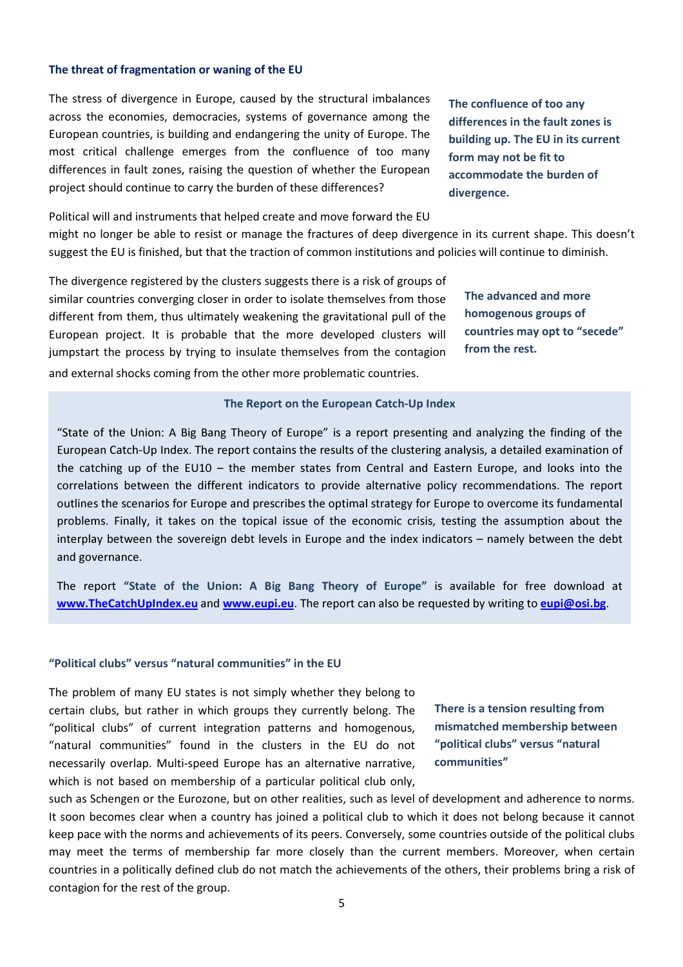## The threat of fragmentation or waning of the EU

The stress of divergence in Europe, caused by the structural imbalances across the economies, democracies, systems of governance among the European countries, is building and endangering the unity of Europe. The most critical challenge emerges from the confluence of too many differences in fault zones, raising the question of whether the European project should continue to carry the burden of these differences?

Political will and instruments that helped create and move forward the EU might no longer be able to resist or manage the fractures of deep divergence in its current shape. This doesn't suggest the EU is finished, but that the traction of common institutions and policies will continue to diminish.

The divergence registered by the clusters suggests there is a risk of groups of similar countries converging closer in order to isolate themselves from those different from them, thus ultimately weakening the gravitational pull of the European project. It is probable that the more developed clusters will jumpstart the process by trying to insulate themselves from the contagion and external shocks coming from the other more problematic countries.

The confluence of too any differences in the fault zones is building up. The EU in its current form may not be fit to accommodate the burden of divergence.

The advanced and more homogenous groups of countries may opt to "secede" from the rest.

#### The Report on the European Catch-Up Index

"State of the Union: A Big Bang Theory of Europe" is a report presenting and analyzing the finding of the European Catch-Up Index. The report contains the results of the clustering analysis, a detailed examination of the catching up of the EU10 – the member states from Central and Eastern Europe, and looks into the correlations between the different indicators to provide alternative policy recommendations. The report outlines the scenarios for Europe and prescribes the optimal strategy for Europe to overcome its fundamental problems. Finally, it takes on the topical issue of the economic crisis, testing the assumption about the interplay between the sovereign debt levels in Europe and the index indicators – namely between the debt and governance.

The report "State of the Union: A Big Bang Theory of Europe" is available for free download at www.TheCatchUpIndex.eu and www.eupi.eu. The report can also be requested by writing to eupi@osi.bg.

#### "Political clubs" versus "natural communities" in the EU

The problem of many EU states is not simply whether they belong to certain clubs, but rather in which groups they currently belong. The "political clubs" of current integration patterns and homogenous, "natural communities" found in the clusters in the EU do not necessarily overlap. Multi-speed Europe has an alternative narrative, which is not based on membership of a particular political club only,

There is a tension resulting from mismatched membership between "political clubs" versus "natural communities"

such as Schengen or the Eurozone, but on other realities, such as level of development and adherence to norms. It soon becomes clear when a country has joined a political club to which it does not belong because it cannot keep pace with the norms and achievements of its peers. Conversely, some countries outside of the political clubs may meet the terms of membership far more closely than the current members. Moreover, when certain countries in a politically defined club do not match the achievements of the others, their problems bring a risk of contagion for the rest of the group.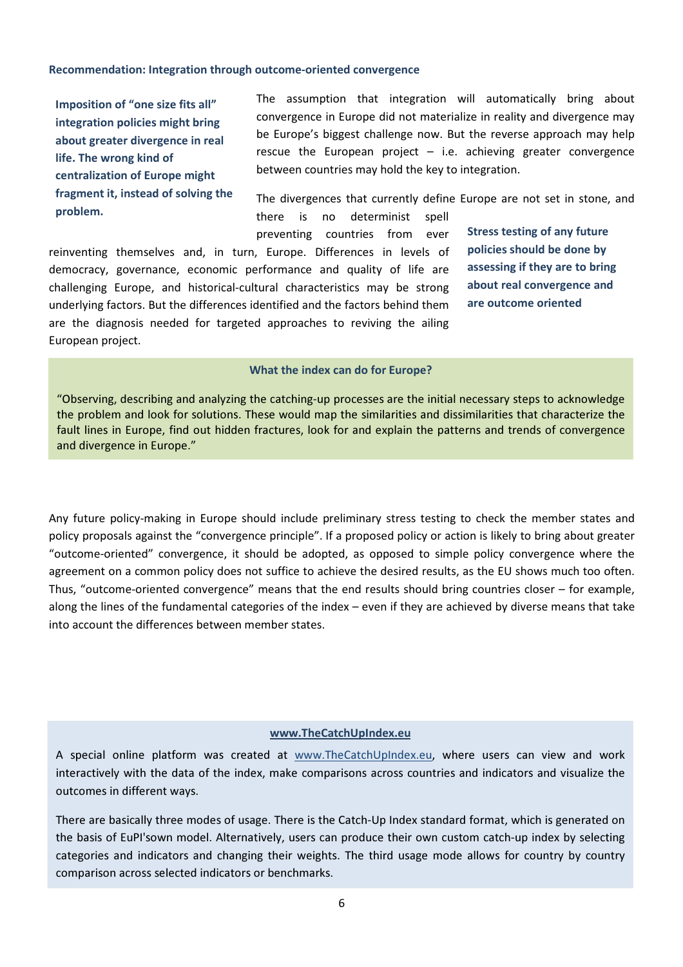#### Recommendation: Integration through outcome-oriented convergence

Imposition of "one size fits all" integration policies might bring about greater divergence in real life. The wrong kind of centralization of Europe might fragment it, instead of solving the problem.

The assumption that integration will automatically bring about convergence in Europe did not materialize in reality and divergence may be Europe's biggest challenge now. But the reverse approach may help rescue the European project  $-$  i.e. achieving greater convergence between countries may hold the key to integration.

The divergences that currently define Europe are not set in stone, and there is no determinist spell

preventing countries from ever reinventing themselves and, in turn, Europe. Differences in levels of democracy, governance, economic performance and quality of life are challenging Europe, and historical-cultural characteristics may be strong underlying factors. But the differences identified and the factors behind them are the diagnosis needed for targeted approaches to reviving the ailing European project.

Stress testing of any future policies should be done by assessing if they are to bring about real convergence and are outcome oriented

#### What the index can do for Europe?

"Observing, describing and analyzing the catching-up processes are the initial necessary steps to acknowledge the problem and look for solutions. These would map the similarities and dissimilarities that characterize the fault lines in Europe, find out hidden fractures, look for and explain the patterns and trends of convergence and divergence in Europe."

Any future policy-making in Europe should include preliminary stress testing to check the member states and policy proposals against the "convergence principle". If a proposed policy or action is likely to bring about greater "outcome-oriented" convergence, it should be adopted, as opposed to simple policy convergence where the agreement on a common policy does not suffice to achieve the desired results, as the EU shows much too often. Thus, "outcome-oriented convergence" means that the end results should bring countries closer – for example, along the lines of the fundamental categories of the index – even if they are achieved by diverse means that take into account the differences between member states.

#### www.TheCatchUpIndex.eu

A special online platform was created at www.TheCatchUpIndex.eu, where users can view and work interactively with the data of the index, make comparisons across countries and indicators and visualize the outcomes in different ways.

There are basically three modes of usage. There is the Catch-Up Index standard format, which is generated on the basis of EuPI'sown model. Alternatively, users can produce their own custom catch-up index by selecting categories and indicators and changing their weights. The third usage mode allows for country by country comparison across selected indicators or benchmarks.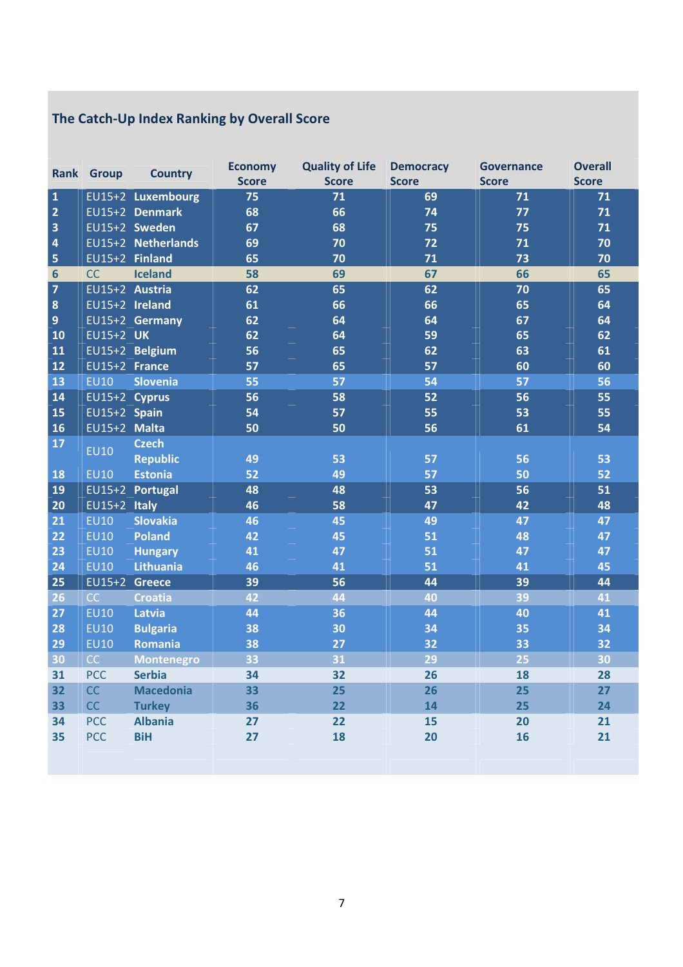# The Catch-Up Index Ranking by Overall Score

|                         | <b>Rank Group</b> | <b>Country</b>     | <b>Economy</b> | <b>Quality of Life</b> | <b>Democracy</b> | <b>Governance</b> | <b>Overall</b> |
|-------------------------|-------------------|--------------------|----------------|------------------------|------------------|-------------------|----------------|
|                         |                   |                    | <b>Score</b>   | <b>Score</b>           | <b>Score</b>     | <b>Score</b>      | <b>Score</b>   |
| $\mathbf 1$             |                   | EU15+2 Luxembourg  | 75             | 71                     | 69               | 71                | 71             |
| $\overline{2}$          |                   | EU15+2 Denmark     | 68             | 66                     | 74               | 77                | 71             |
| $\overline{\mathbf{3}}$ |                   | EU15+2 Sweden      | 67             | 68                     | 75               | 75                | 71             |
| $\overline{4}$          |                   | EU15+2 Netherlands | 69             | 70                     | 72               | 71                | 70             |
| 5                       | EU15+2 Finland    |                    | 65             | 70                     | 71               | 73                | 70             |
| $6\phantom{1}$          | CC                | <b>Iceland</b>     | 58             | 69                     | 67               | 66                | 65             |
| $\overline{7}$          | EU15+2 Austria    |                    | 62             | 65                     | 62               | 70                | 65             |
| $\bf{8}$                | EU15+2 Ireland    |                    | 61             | 66                     | 66               | 65                | 64             |
| $\overline{9}$          |                   | EU15+2 Germany     | 62             | 64                     | 64               | 67                | 64             |
| 10                      | $EU15+2$ UK       |                    | 62             | 64                     | 59               | 65                | 62             |
| 11                      |                   | EU15+2 Belgium     | 56             | 65                     | 62               | 63                | 61             |
| 12                      | EU15+2 France     |                    | 57             | 65                     | 57               | 60                | 60             |
| 13                      | <b>EU10</b>       | <b>Slovenia</b>    | 55             | 57                     | 54               | 57                | 56             |
| 14                      | EU15+2 Cyprus     |                    | 56             | 58                     | 52               | 56                | 55             |
| 15                      | $EU15+2$ Spain    |                    | 54             | 57                     | 55               | 53                | 55             |
| 16                      | EU15+2 Malta      |                    | 50             | 50                     | 56               | 61                | 54             |
| 17                      | <b>EU10</b>       | <b>Czech</b>       |                |                        |                  |                   |                |
|                         |                   | <b>Republic</b>    | 49             | 53                     | 57               | 56                | 53             |
| 18                      | <b>EU10</b>       | <b>Estonia</b>     | 52             | 49                     | 57               | 50                | 52             |
| 19                      |                   | EU15+2 Portugal    | 48             | 48                     | 53               | 56                | 51             |
| 20                      | $EU15+2$ Italy    |                    | 46             | 58                     | 47               | 42                | 48             |
| 21                      | <b>EU10</b>       | <b>Slovakia</b>    | 46             | 45                     | 49               | 47                | 47             |
| 22                      | <b>EU10</b>       | <b>Poland</b>      | 42             | 45                     | 51               | 48                | 47             |
| 23                      | <b>EU10</b>       | <b>Hungary</b>     | 41             | 47                     | 51               | 47                | 47             |
| 24                      | <b>EU10</b>       | <b>Lithuania</b>   | 46             | 41                     | 51               | 41                | 45             |
| 25                      | EU15+2            | <b>Greece</b>      | 39             | 56                     | 44               | 39                | 44             |
| 26                      | CC                | <b>Croatia</b>     | 42             | 44                     | 40               | 39                | 41             |
| 27                      | <b>EU10</b>       | Latvia             | 44             | 36                     | 44               | 40                | 41             |
| 28                      | <b>EU10</b>       | <b>Bulgaria</b>    | 38             | 30                     | 34               | 35                | 34             |
| 29                      | <b>EU10</b>       | Romania            | 38             | 27                     | 32               | 33                | 32             |
| 30                      | CC                | <b>Montenegro</b>  | 33             | 31                     | 29               | 25                | 30             |
| 31                      | <b>PCC</b>        | <b>Serbia</b>      | 34             | 32                     | 26               | 18                | 28             |
| 32                      | CC                | <b>Macedonia</b>   | 33             | 25                     | 26               | 25                | 27             |
| 33                      | CC                | <b>Turkey</b>      | 36             | 22                     | 14               | 25                | 24             |
| 34                      | <b>PCC</b>        | <b>Albania</b>     | 27             | 22                     | 15               | 20                | 21             |
| 35                      | <b>PCC</b>        | <b>BiH</b>         | 27             | 18                     | 20               | 16                | 21             |